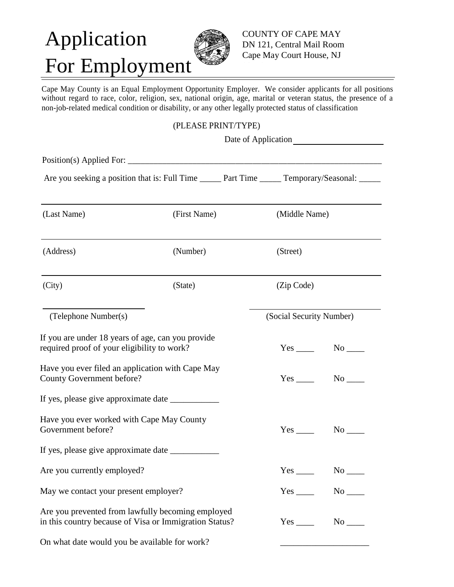# Application For Employment

COUNTY OF CAPE MAY DN 121, Central Mail Room Cape May Court House, NJ

Cape May County is an Equal Employment Opportunity Employer. We consider applicants for all positions without regard to race, color, religion, sex, national origin, age, marital or veteran status, the presence of a non-job-related medical condition or disability, or any other legally protected status of classification

#### (PLEASE PRINT/TYPE)

| Are you seeking a position that is: Full Time ______ Part Time ______ Temporary/Seasonal: _____             |              |  |                          |                      |
|-------------------------------------------------------------------------------------------------------------|--------------|--|--------------------------|----------------------|
| (Last Name)                                                                                                 | (First Name) |  | (Middle Name)            |                      |
| (Address)                                                                                                   | (Number)     |  | (Street)                 |                      |
| (City)                                                                                                      | (State)      |  | (Zip Code)               |                      |
| (Telephone Number(s)                                                                                        |              |  | (Social Security Number) |                      |
| If you are under 18 years of age, can you provide<br>required proof of your eligibility to work?            |              |  |                          | $No$ <sub>____</sub> |
| Have you ever filed an application with Cape May<br><b>County Government before?</b>                        |              |  |                          |                      |
|                                                                                                             |              |  |                          |                      |
| Have you ever worked with Cape May County<br>Government before?                                             |              |  |                          | $No$ $\_\_$          |
|                                                                                                             |              |  |                          |                      |
| Are you currently employed?                                                                                 |              |  |                          | $Yes \_ No \_$       |
| May we contact your present employer?                                                                       |              |  |                          | $Yes$ No $N$         |
| Are you prevented from lawfully becoming employed<br>in this country because of Visa or Immigration Status? |              |  |                          | $Yes$ No $N$         |

On what date would you be available for work?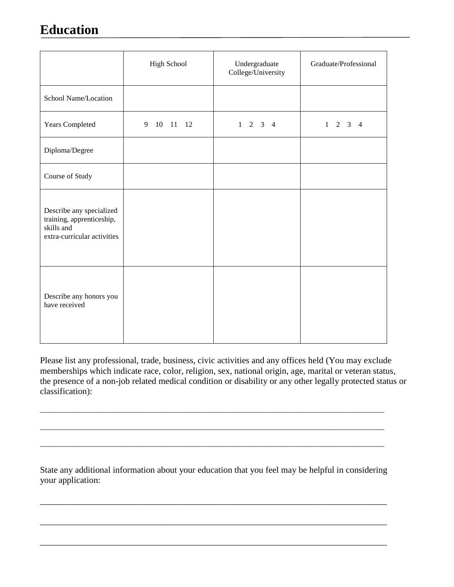### **Education**

|                                                                                                    | High School   | Undergraduate<br>College/University | Graduate/Professional |
|----------------------------------------------------------------------------------------------------|---------------|-------------------------------------|-----------------------|
| School Name/Location                                                                               |               |                                     |                       |
| Years Completed                                                                                    | 9<br>10 11 12 | $1 \t2 \t3 \t4$                     | $1 \t2 \t3 \t4$       |
| Diploma/Degree                                                                                     |               |                                     |                       |
| Course of Study                                                                                    |               |                                     |                       |
| Describe any specialized<br>training, apprenticeship,<br>skills and<br>extra-curricular activities |               |                                     |                       |
| Describe any honors you<br>have received                                                           |               |                                     |                       |

Please list any professional, trade, business, civic activities and any offices held (You may exclude memberships which indicate race, color, religion, sex, national origin, age, marital or veteran status, the presence of a non-job related medical condition or disability or any other legally protected status or classification):

State any additional information about your education that you feel may be helpful in considering your application:

\_\_\_\_\_\_\_\_\_\_\_\_\_\_\_\_\_\_\_\_\_\_\_\_\_\_\_\_\_\_\_\_\_\_\_\_\_\_\_\_\_\_\_\_\_\_\_\_\_\_\_\_\_\_\_\_\_\_\_\_\_\_\_\_\_\_\_\_\_\_\_\_\_\_\_\_\_\_

\_\_\_\_\_\_\_\_\_\_\_\_\_\_\_\_\_\_\_\_\_\_\_\_\_\_\_\_\_\_\_\_\_\_\_\_\_\_\_\_\_\_\_\_\_\_\_\_\_\_\_\_\_\_\_\_\_\_\_\_\_\_\_\_\_\_\_\_\_\_\_\_\_\_\_\_\_\_

\_\_\_\_\_\_\_\_\_\_\_\_\_\_\_\_\_\_\_\_\_\_\_\_\_\_\_\_\_\_\_\_\_\_\_\_\_\_\_\_\_\_\_\_\_\_\_\_\_\_\_\_\_\_\_\_\_\_\_\_\_\_\_\_\_\_\_\_\_\_\_\_\_\_\_\_\_\_

\_\_\_\_\_\_\_\_\_\_\_\_\_\_\_\_\_\_\_\_\_\_\_\_\_\_\_\_\_\_\_\_\_\_\_\_\_\_\_\_\_\_\_\_\_\_\_\_\_\_\_\_\_\_\_\_\_\_\_\_\_\_\_\_\_\_\_\_\_\_\_\_\_\_\_\_\_\_\_\_\_\_\_\_\_\_\_\_\_\_\_\_\_

 $\_$  ,  $\_$  ,  $\_$  ,  $\_$  ,  $\_$  ,  $\_$  ,  $\_$  ,  $\_$  ,  $\_$  ,  $\_$  ,  $\_$  ,  $\_$  ,  $\_$  ,  $\_$  ,  $\_$  ,  $\_$  ,  $\_$  ,  $\_$  ,  $\_$  ,  $\_$  ,  $\_$  ,  $\_$  ,  $\_$  ,  $\_$  ,  $\_$  ,  $\_$  ,  $\_$  ,  $\_$  ,  $\_$  ,  $\_$  ,  $\_$  ,  $\_$  ,  $\_$  ,  $\_$  ,  $\_$  ,  $\_$  ,  $\_$  ,

 $\_$  ,  $\_$  ,  $\_$  ,  $\_$  ,  $\_$  ,  $\_$  ,  $\_$  ,  $\_$  ,  $\_$  ,  $\_$  ,  $\_$  ,  $\_$  ,  $\_$  ,  $\_$  ,  $\_$  ,  $\_$  ,  $\_$  ,  $\_$  ,  $\_$  ,  $\_$  ,  $\_$  ,  $\_$  ,  $\_$  ,  $\_$  ,  $\_$  ,  $\_$  ,  $\_$  ,  $\_$  ,  $\_$  ,  $\_$  ,  $\_$  ,  $\_$  ,  $\_$  ,  $\_$  ,  $\_$  ,  $\_$  ,  $\_$  ,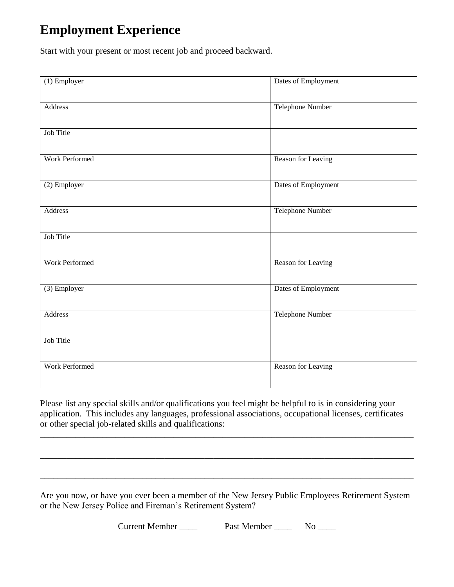### **Employment Experience**

Start with your present or most recent job and proceed backward.

| Dates of Employment     |
|-------------------------|
| <b>Telephone Number</b> |
|                         |
| Reason for Leaving      |
| Dates of Employment     |
| <b>Telephone Number</b> |
|                         |
| Reason for Leaving      |
| Dates of Employment     |
| <b>Telephone Number</b> |
|                         |
| Reason for Leaving      |
|                         |

Please list any special skills and/or qualifications you feel might be helpful to is in considering your application. This includes any languages, professional associations, occupational licenses, certificates or other special job-related skills and qualifications:

\_\_\_\_\_\_\_\_\_\_\_\_\_\_\_\_\_\_\_\_\_\_\_\_\_\_\_\_\_\_\_\_\_\_\_\_\_\_\_\_\_\_\_\_\_\_\_\_\_\_\_\_\_\_\_\_\_\_\_\_\_\_\_\_\_\_\_\_\_\_\_\_\_\_\_\_\_\_\_\_\_\_\_\_

\_\_\_\_\_\_\_\_\_\_\_\_\_\_\_\_\_\_\_\_\_\_\_\_\_\_\_\_\_\_\_\_\_\_\_\_\_\_\_\_\_\_\_\_\_\_\_\_\_\_\_\_\_\_\_\_\_\_\_\_\_\_\_\_\_\_\_\_\_\_\_\_\_\_\_\_\_\_\_\_\_\_\_\_

\_\_\_\_\_\_\_\_\_\_\_\_\_\_\_\_\_\_\_\_\_\_\_\_\_\_\_\_\_\_\_\_\_\_\_\_\_\_\_\_\_\_\_\_\_\_\_\_\_\_\_\_\_\_\_\_\_\_\_\_\_\_\_\_\_\_\_\_\_\_\_\_\_\_\_\_\_\_\_\_\_\_\_\_

Are you now, or have you ever been a member of the New Jersey Public Employees Retirement System or the New Jersey Police and Fireman's Retirement System?

Current Member \_\_\_\_ Past Member \_\_\_\_ No \_\_\_\_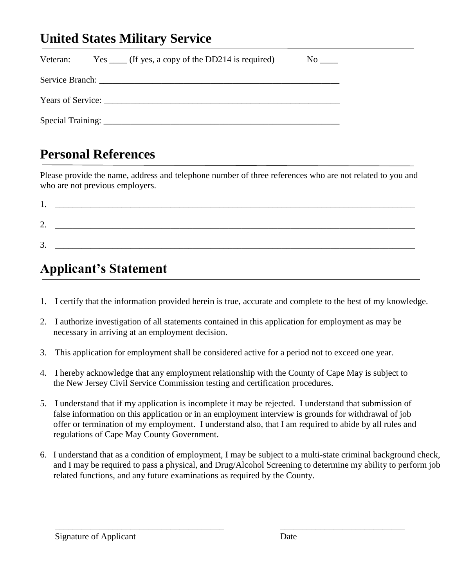### **United States Military Service**

| Veteran: $Yes \_\_ (If yes, a copy of the DD214 is required)$ | No no |
|---------------------------------------------------------------|-------|
|                                                               |       |
| Years of Service:                                             |       |
|                                                               |       |

#### **Personal References**

Please provide the name, address and telephone number of three references who are not related to you and who are not previous employers.

| . .     |  |  |
|---------|--|--|
| ◠<br>∠. |  |  |
| 3<br>J. |  |  |

## **Applicant's Statement**

- 1. I certify that the information provided herein is true, accurate and complete to the best of my knowledge.
- 2. I authorize investigation of all statements contained in this application for employment as may be necessary in arriving at an employment decision.
- 3. This application for employment shall be considered active for a period not to exceed one year.
- 4. I hereby acknowledge that any employment relationship with the County of Cape May is subject to the New Jersey Civil Service Commission testing and certification procedures.
- 5. I understand that if my application is incomplete it may be rejected. I understand that submission of false information on this application or in an employment interview is grounds for withdrawal of job offer or termination of my employment. I understand also, that I am required to abide by all rules and regulations of Cape May County Government.

\_\_\_\_\_\_\_\_\_\_\_\_\_\_\_\_\_\_\_\_\_\_\_\_\_\_\_\_\_\_\_\_\_\_\_\_\_\_ \_\_\_\_\_\_\_\_\_\_\_\_\_\_\_\_\_\_\_\_\_\_\_\_\_\_\_\_

6. I understand that as a condition of employment, I may be subject to a multi-state criminal background check, and I may be required to pass a physical, and Drug/Alcohol Screening to determine my ability to perform job related functions, and any future examinations as required by the County.